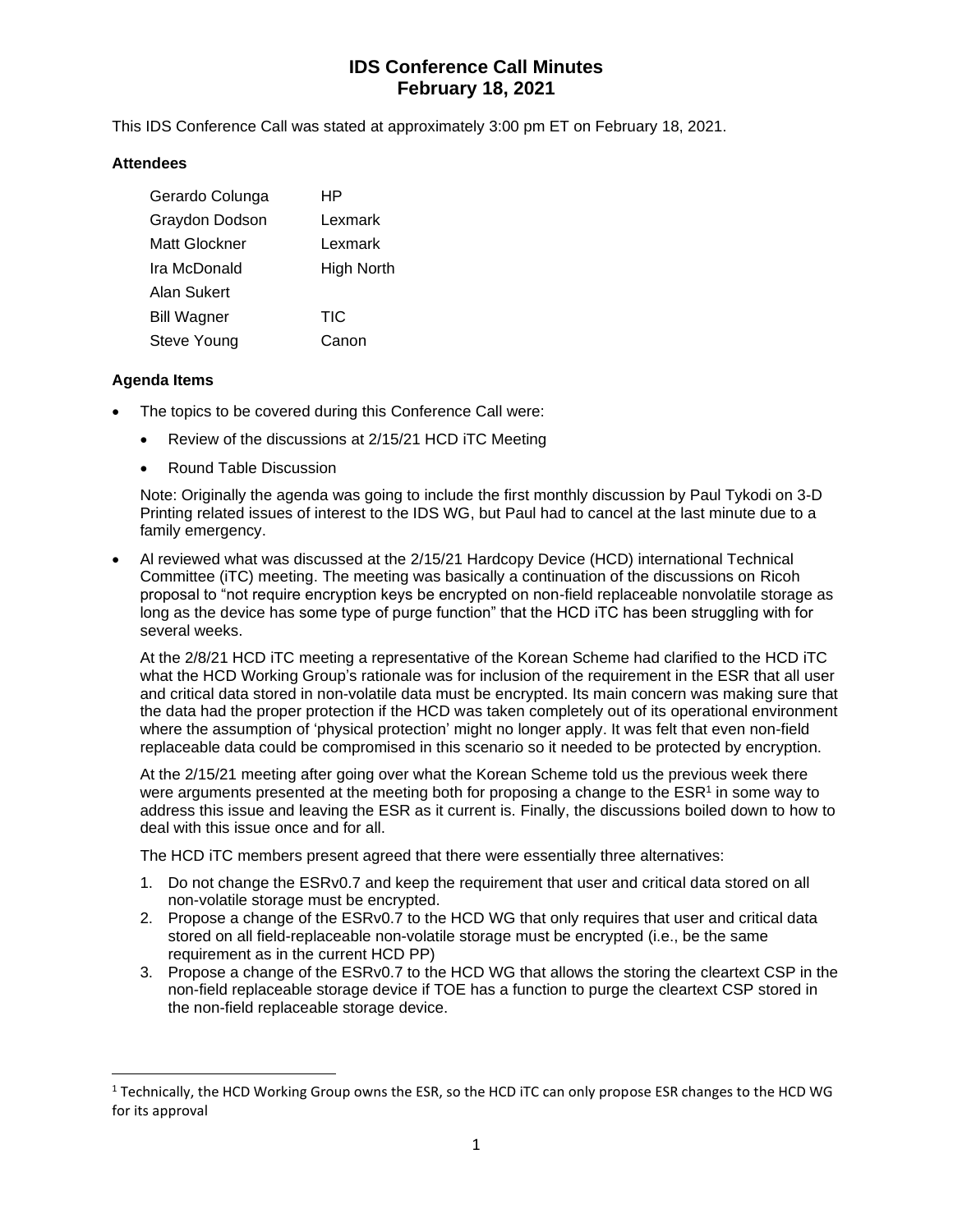# **IDS Conference Call Minutes February 18, 2021**

This IDS Conference Call was stated at approximately 3:00 pm ET on February 18, 2021.

### **Attendees**

| Gerardo Colunga    | HP                |
|--------------------|-------------------|
| Graydon Dodson     | Lexmark           |
| Matt Glockner      | Lexmark           |
| Ira McDonald       | <b>High North</b> |
| Alan Sukert        |                   |
| <b>Bill Wagner</b> | <b>TIC</b>        |
| Steve Young        | Canon             |

### **Agenda Items**

- The topics to be covered during this Conference Call were:
	- Review of the discussions at 2/15/21 HCD iTC Meeting
	- Round Table Discussion

Note: Originally the agenda was going to include the first monthly discussion by Paul Tykodi on 3-D Printing related issues of interest to the IDS WG, but Paul had to cancel at the last minute due to a family emergency.

• Al reviewed what was discussed at the 2/15/21 Hardcopy Device (HCD) international Technical Committee (iTC) meeting. The meeting was basically a continuation of the discussions on Ricoh proposal to "not require encryption keys be encrypted on non-field replaceable nonvolatile storage as long as the device has some type of purge function" that the HCD iTC has been struggling with for several weeks.

At the 2/8/21 HCD iTC meeting a representative of the Korean Scheme had clarified to the HCD iTC what the HCD Working Group's rationale was for inclusion of the requirement in the ESR that all user and critical data stored in non-volatile data must be encrypted. Its main concern was making sure that the data had the proper protection if the HCD was taken completely out of its operational environment where the assumption of 'physical protection' might no longer apply. It was felt that even non-field replaceable data could be compromised in this scenario so it needed to be protected by encryption.

At the 2/15/21 meeting after going over what the Korean Scheme told us the previous week there were arguments presented at the meeting both for proposing a change to the  $ESR<sup>1</sup>$  in some way to address this issue and leaving the ESR as it current is. Finally, the discussions boiled down to how to deal with this issue once and for all.

The HCD iTC members present agreed that there were essentially three alternatives:

- 1. Do not change the ESRv0.7 and keep the requirement that user and critical data stored on all non-volatile storage must be encrypted.
- 2. Propose a change of the ESRv0.7 to the HCD WG that only requires that user and critical data stored on all field-replaceable non-volatile storage must be encrypted (i.e., be the same requirement as in the current HCD PP)
- 3. Propose a change of the ESRv0.7 to the HCD WG that allows the storing the cleartext CSP in the non-field replaceable storage device if TOE has a function to purge the cleartext CSP stored in the non-field replaceable storage device.

<sup>&</sup>lt;sup>1</sup> Technically, the HCD Working Group owns the ESR, so the HCD ITC can only propose ESR changes to the HCD WG for its approval